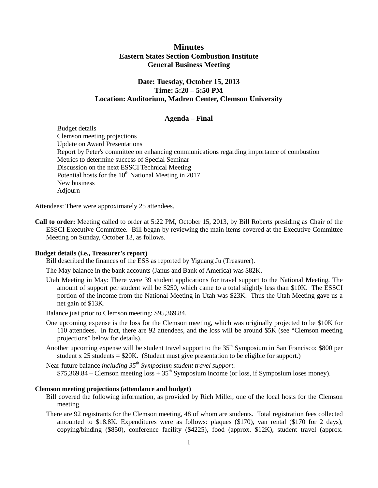# **Minutes Eastern States Section Combustion Institute General Business Meeting**

# **Date: Tuesday, October 15, 2013 Time: 5:20 – 5:50 PM Location: Auditorium, Madren Center, Clemson University**

## **Agenda – Final**

Budget details Clemson meeting projections Update on Award Presentations Report by Peter's committee on enhancing communications regarding importance of combustion Metrics to determine success of Special Seminar Discussion on the next ESSCI Technical Meeting Potential hosts for the  $10<sup>th</sup>$  National Meeting in 2017 New business Adjourn

Attendees: There were approximately 25 attendees.

**Call to order:** Meeting called to order at 5:22 PM, October 15, 2013, by Bill Roberts presiding as Chair of the ESSCI Executive Committee. Bill began by reviewing the main items covered at the Executive Committee Meeting on Sunday, October 13, as follows.

## **Budget details (i.e., Treasurer's report)**

Bill described the finances of the ESS as reported by Yiguang Ju (Treasurer).

The May balance in the bank accounts (Janus and Bank of America) was \$82K.

Utah Meeting in May: There were 39 student applications for travel support to the National Meeting. The amount of support per student will be \$250, which came to a total slightly less than \$10K. The ESSCI portion of the income from the National Meeting in Utah was \$23K. Thus the Utah Meeting gave us a net gain of \$13K.

Balance just prior to Clemson meeting: \$95,369.84.

- One upcoming expense is the loss for the Clemson meeting, which was originally projected to be \$10K for 110 attendees. In fact, there are 92 attendees, and the loss will be around \$5K (see "Clemson meeting projections" below for details).
- Another upcoming expense will be student travel support to the 35<sup>th</sup> Symposium in San Francisco: \$800 per student x  $25$  students =  $$20K$ . (Student must give presentation to be eligible for support.)

Near-future balance *including 35th Symposium student travel support*:  $$75,369.84$  – Clemson meeting loss + 35<sup>th</sup> Symposium income (or loss, if Symposium loses money).

## **Clemson meeting projections (attendance and budget)**

- Bill covered the following information, as provided by Rich Miller, one of the local hosts for the Clemson meeting.
- There are 92 registrants for the Clemson meeting, 48 of whom are students. Total registration fees collected amounted to \$18.8K. Expenditures were as follows: plaques (\$170), van rental (\$170 for 2 days), copying/binding (\$850), conference facility (\$4225), food (approx. \$12K), student travel (approx.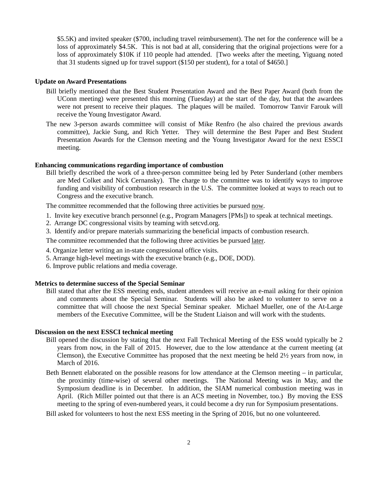\$5.5K) and invited speaker (\$700, including travel reimbursement). The net for the conference will be a loss of approximately \$4.5K. This is not bad at all, considering that the original projections were for a loss of approximately \$10K if 110 people had attended. [Two weeks after the meeting, Yiguang noted that 31 students signed up for travel support (\$150 per student), for a total of \$4650.]

## **Update on Award Presentations**

- Bill briefly mentioned that the Best Student Presentation Award and the Best Paper Award (both from the UConn meeting) were presented this morning (Tuesday) at the start of the day, but that the awardees were not present to receive their plaques. The plaques will be mailed. Tomorrow Tanvir Farouk will receive the Young Investigator Award.
- The new 3-person awards committee will consist of Mike Renfro (he also chaired the previous awards committee), Jackie Sung, and Rich Yetter. They will determine the Best Paper and Best Student Presentation Awards for the Clemson meeting and the Young Investigator Award for the next ESSCI meeting.

#### **Enhancing communications regarding importance of combustion**

Bill briefly described the work of a three-person committee being led by Peter Sunderland (other members are Med Colket and Nick Cernansky). The charge to the committee was to identify ways to improve funding and visibility of combustion research in the U.S. The committee looked at ways to reach out to Congress and the executive branch.

The committee recommended that the following three activities be pursued now.

- 1. Invite key executive branch personnel (e.g., Program Managers [PMs]) to speak at technical meetings.
- 2. Arrange DC congressional visits by teaming with setcvd.org.
- 3. Identify and/or prepare materials summarizing the beneficial impacts of combustion research.

The committee recommended that the following three activities be pursued later.

- 4. Organize letter writing an in-state congressional office visits.
- 5. Arrange high-level meetings with the executive branch (e.g., DOE, DOD).
- 6. Improve public relations and media coverage.

#### **Metrics to determine success of the Special Seminar**

Bill stated that after the ESS meeting ends, student attendees will receive an e-mail asking for their opinion and comments about the Special Seminar. Students will also be asked to volunteer to serve on a committee that will choose the next Special Seminar speaker. Michael Mueller, one of the At-Large members of the Executive Committee, will be the Student Liaison and will work with the students.

#### **Discussion on the next ESSCI technical meeting**

- Bill opened the discussion by stating that the next Fall Technical Meeting of the ESS would typically be 2 years from now, in the Fall of 2015. However, due to the low attendance at the current meeting (at Clemson), the Executive Committee has proposed that the next meeting be held 2½ years from now, in March of 2016.
- Beth Bennett elaborated on the possible reasons for low attendance at the Clemson meeting in particular, the proximity (time-wise) of several other meetings. The National Meeting was in May, and the Symposium deadline is in December. In addition, the SIAM numerical combustion meeting was in April. (Rich Miller pointed out that there is an ACS meeting in November, too.) By moving the ESS meeting to the spring of even-numbered years, it could become a dry run for Symposium presentations.
- Bill asked for volunteers to host the next ESS meeting in the Spring of 2016, but no one volunteered.